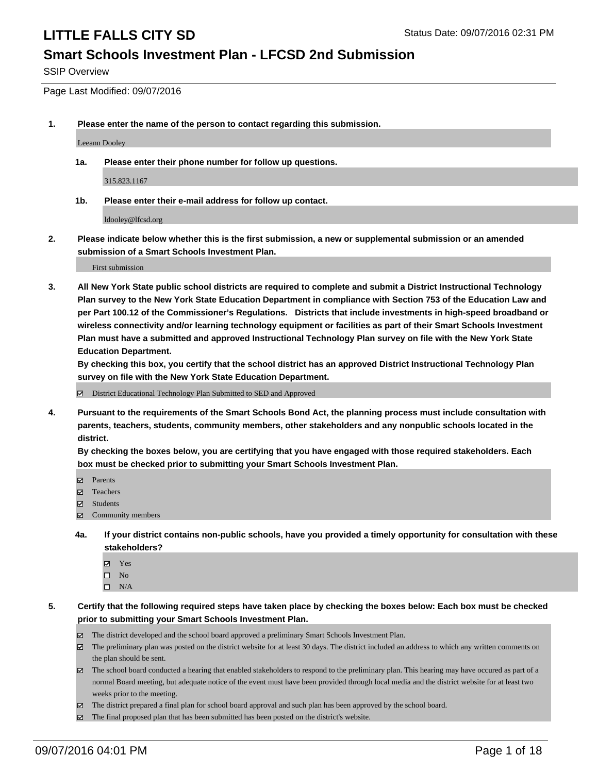#### **Smart Schools Investment Plan - LFCSD 2nd Submission**

SSIP Overview

Page Last Modified: 09/07/2016

**1. Please enter the name of the person to contact regarding this submission.**

Leeann Dooley

**1a. Please enter their phone number for follow up questions.**

315.823.1167

**1b. Please enter their e-mail address for follow up contact.**

ldooley@lfcsd.org

**2. Please indicate below whether this is the first submission, a new or supplemental submission or an amended submission of a Smart Schools Investment Plan.**

First submission

**3. All New York State public school districts are required to complete and submit a District Instructional Technology Plan survey to the New York State Education Department in compliance with Section 753 of the Education Law and per Part 100.12 of the Commissioner's Regulations. Districts that include investments in high-speed broadband or wireless connectivity and/or learning technology equipment or facilities as part of their Smart Schools Investment Plan must have a submitted and approved Instructional Technology Plan survey on file with the New York State Education Department.** 

**By checking this box, you certify that the school district has an approved District Instructional Technology Plan survey on file with the New York State Education Department.**

District Educational Technology Plan Submitted to SED and Approved

**4. Pursuant to the requirements of the Smart Schools Bond Act, the planning process must include consultation with parents, teachers, students, community members, other stakeholders and any nonpublic schools located in the district.** 

**By checking the boxes below, you are certifying that you have engaged with those required stakeholders. Each box must be checked prior to submitting your Smart Schools Investment Plan.**

- Parents
- Teachers
- $\boxtimes$  Students
- Community members
- **4a. If your district contains non-public schools, have you provided a timely opportunity for consultation with these stakeholders?**
	- Yes  $\square$  No
	- $\square$  N/A
- **5. Certify that the following required steps have taken place by checking the boxes below: Each box must be checked prior to submitting your Smart Schools Investment Plan.**
	- The district developed and the school board approved a preliminary Smart Schools Investment Plan.
	- The preliminary plan was posted on the district website for at least 30 days. The district included an address to which any written comments on the plan should be sent.
	- $\boxtimes$  The school board conducted a hearing that enabled stakeholders to respond to the preliminary plan. This hearing may have occured as part of a normal Board meeting, but adequate notice of the event must have been provided through local media and the district website for at least two weeks prior to the meeting.
	- The district prepared a final plan for school board approval and such plan has been approved by the school board.
	- The final proposed plan that has been submitted has been posted on the district's website.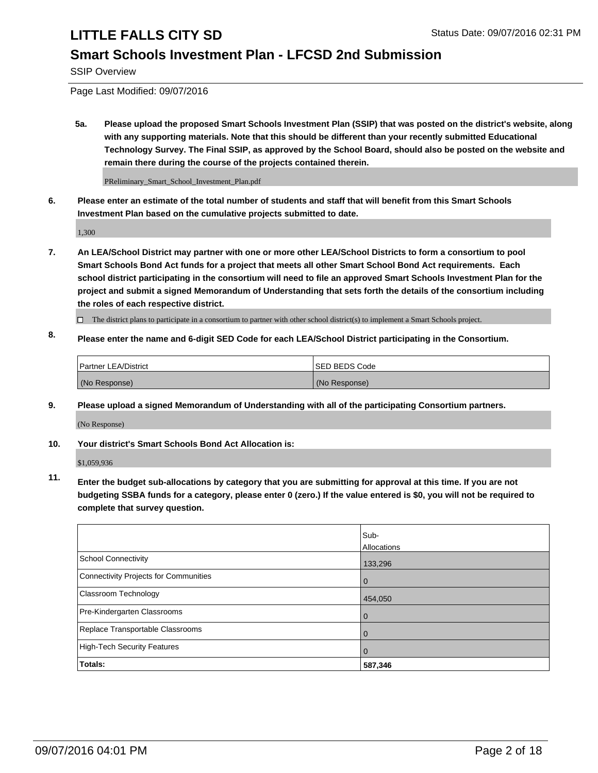## **Smart Schools Investment Plan - LFCSD 2nd Submission**

SSIP Overview

Page Last Modified: 09/07/2016

**5a. Please upload the proposed Smart Schools Investment Plan (SSIP) that was posted on the district's website, along with any supporting materials. Note that this should be different than your recently submitted Educational Technology Survey. The Final SSIP, as approved by the School Board, should also be posted on the website and remain there during the course of the projects contained therein.**

PReliminary\_Smart\_School\_Investment\_Plan.pdf

**6. Please enter an estimate of the total number of students and staff that will benefit from this Smart Schools Investment Plan based on the cumulative projects submitted to date.**

1,300

- **7. An LEA/School District may partner with one or more other LEA/School Districts to form a consortium to pool Smart Schools Bond Act funds for a project that meets all other Smart School Bond Act requirements. Each school district participating in the consortium will need to file an approved Smart Schools Investment Plan for the project and submit a signed Memorandum of Understanding that sets forth the details of the consortium including the roles of each respective district.**
	- $\Box$  The district plans to participate in a consortium to partner with other school district(s) to implement a Smart Schools project.
- **8. Please enter the name and 6-digit SED Code for each LEA/School District participating in the Consortium.**

| <b>Partner LEA/District</b> | ISED BEDS Code |
|-----------------------------|----------------|
| (No Response)               | (No Response)  |

**9. Please upload a signed Memorandum of Understanding with all of the participating Consortium partners.**

(No Response)

#### **10. Your district's Smart Schools Bond Act Allocation is:**

\$1,059,936

**11. Enter the budget sub-allocations by category that you are submitting for approval at this time. If you are not budgeting SSBA funds for a category, please enter 0 (zero.) If the value entered is \$0, you will not be required to complete that survey question.**

|                                       | Sub-<br>Allocations |
|---------------------------------------|---------------------|
| <b>School Connectivity</b>            | 133,296             |
| Connectivity Projects for Communities | $\Omega$            |
| <b>Classroom Technology</b>           | 454,050             |
| Pre-Kindergarten Classrooms           | $\Omega$            |
| Replace Transportable Classrooms      | $\Omega$            |
| <b>High-Tech Security Features</b>    | $\Omega$            |
| Totals:                               | 587,346             |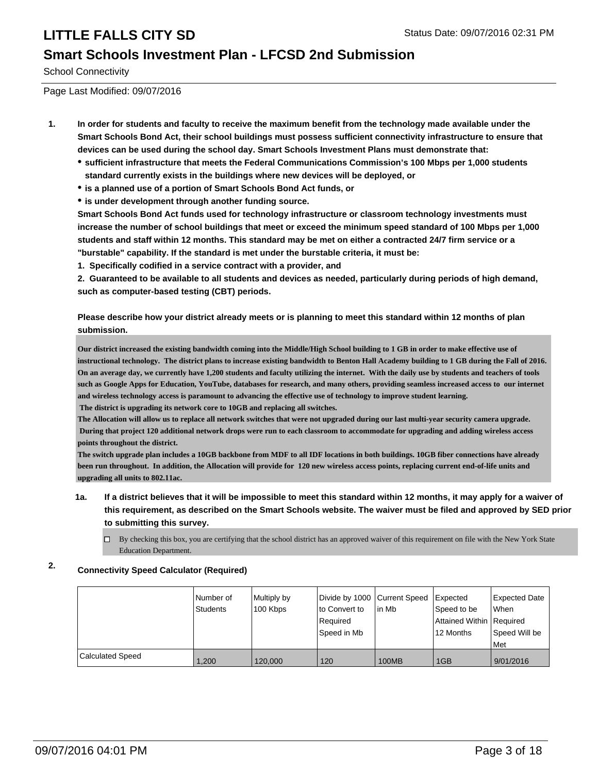### **Smart Schools Investment Plan - LFCSD 2nd Submission**

School Connectivity

Page Last Modified: 09/07/2016

- **1. In order for students and faculty to receive the maximum benefit from the technology made available under the Smart Schools Bond Act, their school buildings must possess sufficient connectivity infrastructure to ensure that devices can be used during the school day. Smart Schools Investment Plans must demonstrate that:**
	- **sufficient infrastructure that meets the Federal Communications Commission's 100 Mbps per 1,000 students standard currently exists in the buildings where new devices will be deployed, or**
	- **is a planned use of a portion of Smart Schools Bond Act funds, or**
	- **is under development through another funding source.**

**Smart Schools Bond Act funds used for technology infrastructure or classroom technology investments must increase the number of school buildings that meet or exceed the minimum speed standard of 100 Mbps per 1,000 students and staff within 12 months. This standard may be met on either a contracted 24/7 firm service or a "burstable" capability. If the standard is met under the burstable criteria, it must be:**

**1. Specifically codified in a service contract with a provider, and**

**2. Guaranteed to be available to all students and devices as needed, particularly during periods of high demand, such as computer-based testing (CBT) periods.**

**Please describe how your district already meets or is planning to meet this standard within 12 months of plan submission.**

**Our district increased the existing bandwidth coming into the Middle/High School building to 1 GB in order to make effective use of instructional technology. The district plans to increase existing bandwidth to Benton Hall Academy building to 1 GB during the Fall of 2016. On an average day, we currently have 1,200 students and faculty utilizing the internet. With the daily use by students and teachers of tools such as Google Apps for Education, YouTube, databases for research, and many others, providing seamless increased access to our internet and wireless technology access is paramount to advancing the effective use of technology to improve student learning. The district is upgrading its network core to 10GB and replacing all switches.**

**The Allocation will allow us to replace all network switches that were not upgraded during our last multi-year security camera upgrade. During that project 120 additional network drops were run to each classroom to accommodate for upgrading and adding wireless access points throughout the district.** 

**The switch upgrade plan includes a 10GB backbone from MDF to all IDF locations in both buildings. 10GB fiber connections have already been run throughout. In addition, the Allocation will provide for 120 new wireless access points, replacing current end-of-life units and upgrading all units to 802.11ac.**

- **1a. If a district believes that it will be impossible to meet this standard within 12 months, it may apply for a waiver of this requirement, as described on the Smart Schools website. The waiver must be filed and approved by SED prior to submitting this survey.**
	- $\Box$  By checking this box, you are certifying that the school district has an approved waiver of this requirement on file with the New York State Education Department.

#### **2. Connectivity Speed Calculator (Required)**

|                  | Number of<br>Students | Multiply by<br>100 Kbps | Divide by 1000 Current Speed<br>to Convert to<br>Reauired<br>Speed in Mb | lin Mb       | Expected<br>Speed to be<br>Attained Within Required<br>12 Months | <b>Expected Date</b><br>lWhen<br>Speed Will be<br><b>Met</b> |
|------------------|-----------------------|-------------------------|--------------------------------------------------------------------------|--------------|------------------------------------------------------------------|--------------------------------------------------------------|
| Calculated Speed | 1,200                 | 120,000                 | 120                                                                      | <b>100MB</b> | 1GB                                                              | 9/01/2016                                                    |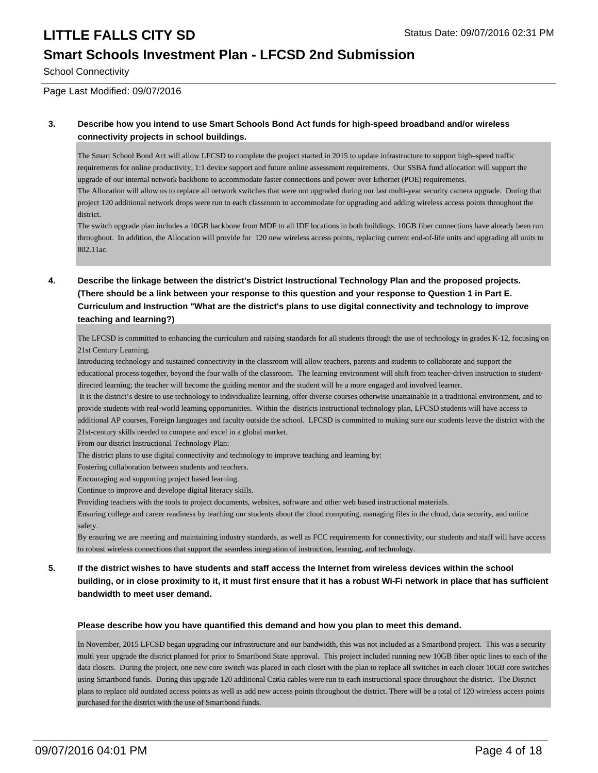### **Smart Schools Investment Plan - LFCSD 2nd Submission**

School Connectivity

Page Last Modified: 09/07/2016

#### **3. Describe how you intend to use Smart Schools Bond Act funds for high-speed broadband and/or wireless connectivity projects in school buildings.**

The Smart School Bond Act will allow LFCSD to complete the project started in 2015 to update infrastructure to support high–speed traffic requirements for online productivity, 1:1 device support and future online assessment requirements. Our SSBA fund allocation will support the upgrade of our internal network backbone to accommodate faster connections and power over Ethernet (POE) requirements.

The Allocation will allow us to replace all network switches that were not upgraded during our last multi-year security camera upgrade. During that project 120 additional network drops were run to each classroom to accommodate for upgrading and adding wireless access points throughout the district.

The switch upgrade plan includes a 10GB backbone from MDF to all IDF locations in both buildings. 10GB fiber connections have already been run throughout. In addition, the Allocation will provide for 120 new wireless access points, replacing current end-of-life units and upgrading all units to 802.11ac.

#### **4. Describe the linkage between the district's District Instructional Technology Plan and the proposed projects. (There should be a link between your response to this question and your response to Question 1 in Part E. Curriculum and Instruction "What are the district's plans to use digital connectivity and technology to improve teaching and learning?)**

The LFCSD is committed to enhancing the curriculum and raising standards for all students through the use of technology in grades K-12, focusing on 21st Century Learning.

Introducing technology and sustained connectivity in the classroom will allow teachers, parents and students to collaborate and support the educational process together, beyond the four walls of the classroom. The learning environment will shift from teacher-driven instruction to studentdirected learning; the teacher will become the guiding mentor and the student will be a more engaged and involved learner.

 It is the district's desire to use technology to individualize learning, offer diverse courses otherwise unattainable in a traditional environment, and to provide students with real-world learning opportunities. Within the districts instructional technology plan, LFCSD students will have access to additional AP courses, Foreign languages and faculty outside the school. LFCSD is committed to making sure our students leave the district with the

21st-century skills needed to compete and excel in a global market.

From our district Instructional Technology Plan:

The district plans to use digital connectivity and technology to improve teaching and learning by:

Fostering collaboration between students and teachers.

Encouraging and supporting project based learning.

Continue to improve and develope digital literacy skills.

Providing teachers with the tools to project documents, websites, software and other web based instructional materials.

Ensuring college and career readiness by teaching our students about the cloud computing, managing files in the cloud, data security, and online safety.

By ensuring we are meeting and maintaining industry standards, as well as FCC requirements for connectivity, our students and staff will have access to robust wireless connections that support the seamless integration of instruction, learning, and technology.

#### **5. If the district wishes to have students and staff access the Internet from wireless devices within the school building, or in close proximity to it, it must first ensure that it has a robust Wi-Fi network in place that has sufficient bandwidth to meet user demand.**

#### **Please describe how you have quantified this demand and how you plan to meet this demand.**

In November, 2015 LFCSD began upgrading our infrastructure and our bandwidth, this was not included as a Smartbond project. This was a security multi year upgrade the district planned for prior to Smartbond State approval. This project included running new 10GB fiber optic lines to each of the data closets. During the project, one new core switch was placed in each closet with the plan to replace all switches in each closet 10GB core switches using Smartbond funds. During this upgrade 120 additional Cat6a cables were run to each instructional space throughout the district. The District plans to replace old outdated access points as well as add new access points throughout the district. There will be a total of 120 wireless access points purchased for the district with the use of Smartbond funds.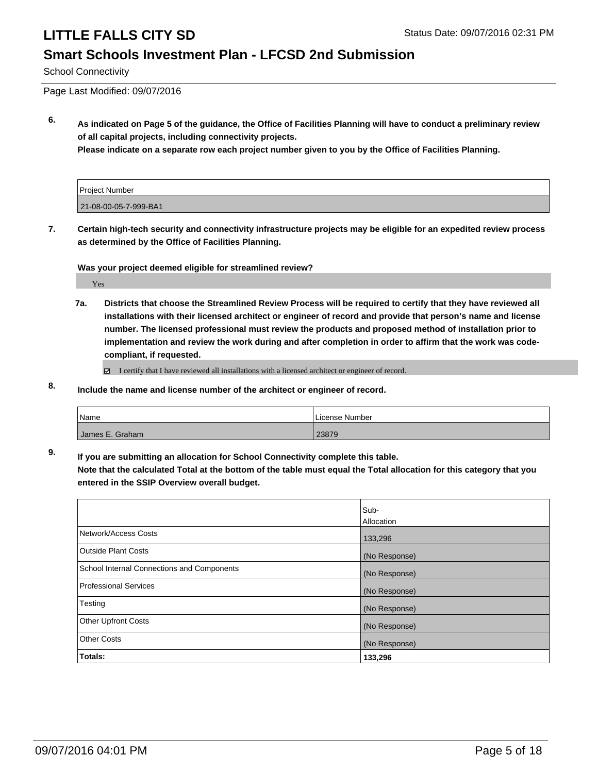### **Smart Schools Investment Plan - LFCSD 2nd Submission**

School Connectivity

Page Last Modified: 09/07/2016

**6. As indicated on Page 5 of the guidance, the Office of Facilities Planning will have to conduct a preliminary review of all capital projects, including connectivity projects.**

**Please indicate on a separate row each project number given to you by the Office of Facilities Planning.**

| <b>Project Number</b> |  |
|-----------------------|--|
| 21-08-00-05-7-999-BA1 |  |

**7. Certain high-tech security and connectivity infrastructure projects may be eligible for an expedited review process as determined by the Office of Facilities Planning.**

**Was your project deemed eligible for streamlined review?**

Yes

**7a. Districts that choose the Streamlined Review Process will be required to certify that they have reviewed all installations with their licensed architect or engineer of record and provide that person's name and license number. The licensed professional must review the products and proposed method of installation prior to implementation and review the work during and after completion in order to affirm that the work was codecompliant, if requested.**

■ I certify that I have reviewed all installations with a licensed architect or engineer of record.

**8. Include the name and license number of the architect or engineer of record.**

| <i>Name</i>     | License Number |
|-----------------|----------------|
| James E. Graham | 23879          |

**9. If you are submitting an allocation for School Connectivity complete this table.**

**Note that the calculated Total at the bottom of the table must equal the Total allocation for this category that you entered in the SSIP Overview overall budget.** 

|                                            | Sub-<br>Allocation |
|--------------------------------------------|--------------------|
| Network/Access Costs                       | 133,296            |
| <b>Outside Plant Costs</b>                 | (No Response)      |
| School Internal Connections and Components | (No Response)      |
| Professional Services                      | (No Response)      |
| Testing                                    | (No Response)      |
| <b>Other Upfront Costs</b>                 | (No Response)      |
| Other Costs                                | (No Response)      |
| <b>Totals:</b>                             | 133,296            |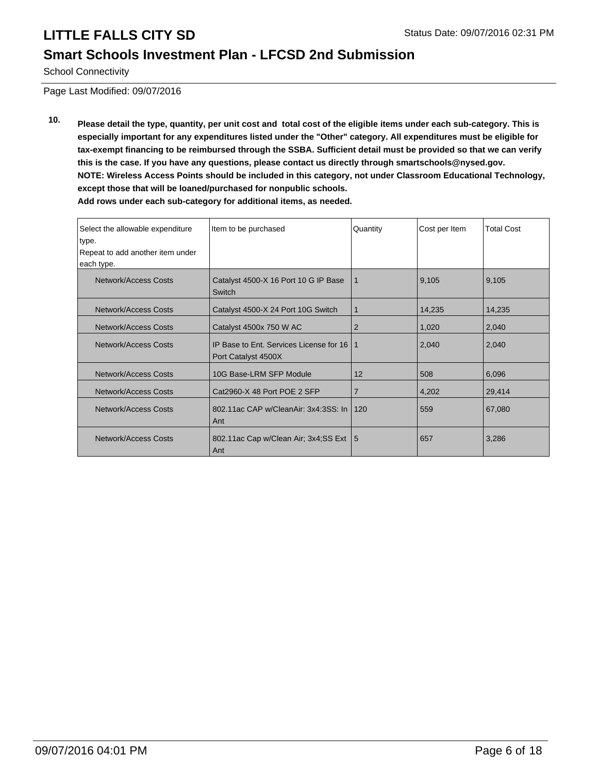### **Smart Schools Investment Plan - LFCSD 2nd Submission**

School Connectivity

Page Last Modified: 09/07/2016

**10. Please detail the type, quantity, per unit cost and total cost of the eligible items under each sub-category. This is especially important for any expenditures listed under the "Other" category. All expenditures must be eligible for tax-exempt financing to be reimbursed through the SSBA. Sufficient detail must be provided so that we can verify this is the case. If you have any questions, please contact us directly through smartschools@nysed.gov. NOTE: Wireless Access Points should be included in this category, not under Classroom Educational Technology, except those that will be loaned/purchased for nonpublic schools.**

| Select the allowable expenditure<br>type.<br>Repeat to add another item under | Item to be purchased                                           | Quantity | Cost per Item | <b>Total Cost</b> |
|-------------------------------------------------------------------------------|----------------------------------------------------------------|----------|---------------|-------------------|
| each type.                                                                    |                                                                |          |               |                   |
| Network/Access Costs                                                          | Catalyst 4500-X 16 Port 10 G IP Base<br>Switch                 | 1        | 9,105         | 9,105             |
| Network/Access Costs                                                          | Catalyst 4500-X 24 Port 10G Switch                             | 1        | 14,235        | 14,235            |
| Network/Access Costs                                                          | Catalyst 4500x 750 W AC                                        | 2        | 1,020         | 2,040             |
| Network/Access Costs                                                          | IP Base to Ent. Services License for 16<br>Port Catalyst 4500X | 1        | 2,040         | 2,040             |
| Network/Access Costs                                                          | 10G Base-LRM SFP Module                                        | 12       | 508           | 6,096             |
| Network/Access Costs                                                          | Cat2960-X 48 Port POE 2 SFP                                    | 7        | 4,202         | 29,414            |
| Network/Access Costs                                                          | 802.11ac CAP w/CleanAir: 3x4:3SS: In I<br>Ant                  | 120      | 559           | 67,080            |
| Network/Access Costs                                                          | 802.11ac Cap w/Clean Air; 3x4; SS Ext   5<br>Ant               |          | 657           | 3,286             |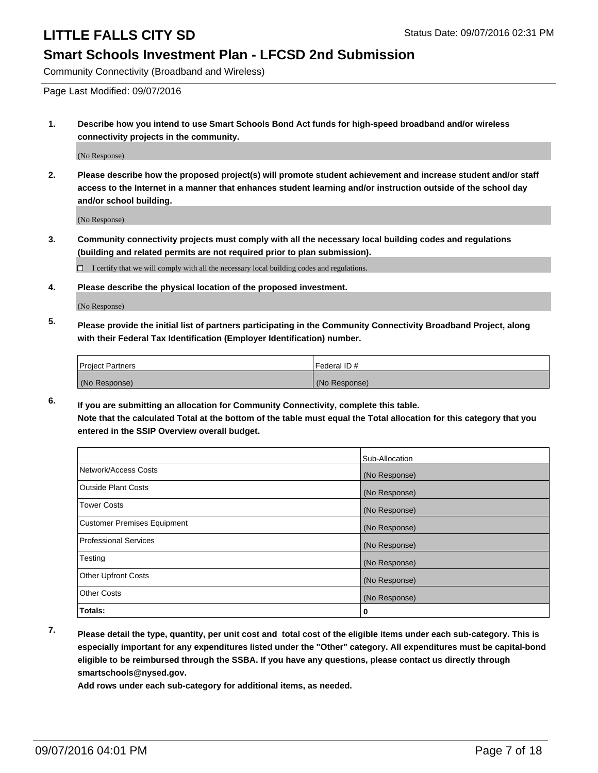#### **Smart Schools Investment Plan - LFCSD 2nd Submission**

Community Connectivity (Broadband and Wireless)

Page Last Modified: 09/07/2016

**1. Describe how you intend to use Smart Schools Bond Act funds for high-speed broadband and/or wireless connectivity projects in the community.**

(No Response)

**2. Please describe how the proposed project(s) will promote student achievement and increase student and/or staff access to the Internet in a manner that enhances student learning and/or instruction outside of the school day and/or school building.**

(No Response)

**3. Community connectivity projects must comply with all the necessary local building codes and regulations (building and related permits are not required prior to plan submission).**

 $\Box$  I certify that we will comply with all the necessary local building codes and regulations.

**4. Please describe the physical location of the proposed investment.**

(No Response)

**5. Please provide the initial list of partners participating in the Community Connectivity Broadband Project, along with their Federal Tax Identification (Employer Identification) number.**

| <b>Project Partners</b> | Federal ID#   |
|-------------------------|---------------|
| (No Response)           | (No Response) |

**6. If you are submitting an allocation for Community Connectivity, complete this table. Note that the calculated Total at the bottom of the table must equal the Total allocation for this category that you entered in the SSIP Overview overall budget.**

|                                    | Sub-Allocation |
|------------------------------------|----------------|
| Network/Access Costs               | (No Response)  |
| <b>Outside Plant Costs</b>         | (No Response)  |
| Tower Costs                        | (No Response)  |
| <b>Customer Premises Equipment</b> | (No Response)  |
| <b>Professional Services</b>       | (No Response)  |
| Testing                            | (No Response)  |
| <b>Other Upfront Costs</b>         | (No Response)  |
| <b>Other Costs</b>                 | (No Response)  |
| Totals:                            | 0              |

**7. Please detail the type, quantity, per unit cost and total cost of the eligible items under each sub-category. This is especially important for any expenditures listed under the "Other" category. All expenditures must be capital-bond eligible to be reimbursed through the SSBA. If you have any questions, please contact us directly through smartschools@nysed.gov.**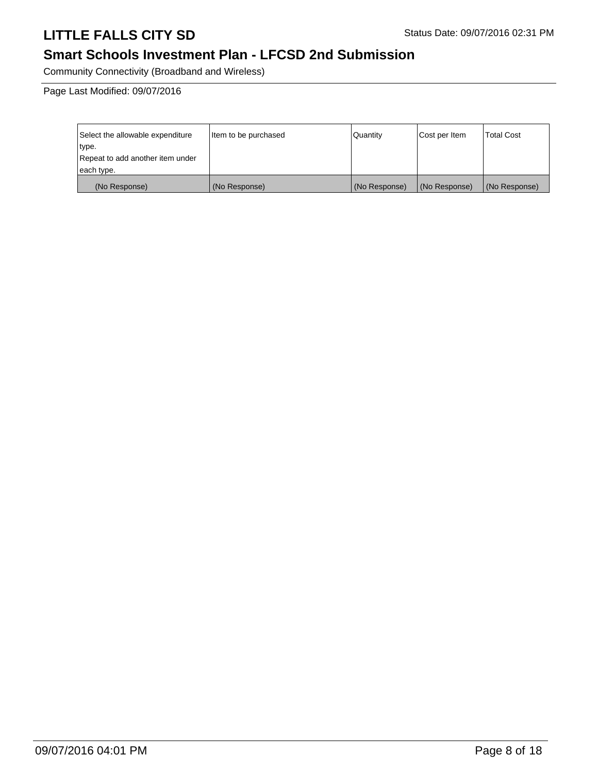## **Smart Schools Investment Plan - LFCSD 2nd Submission**

Community Connectivity (Broadband and Wireless)

Page Last Modified: 09/07/2016

| Select the allowable expenditure | litem to be purchased | Quantity      | Cost per Item | <b>Total Cost</b> |
|----------------------------------|-----------------------|---------------|---------------|-------------------|
| type.                            |                       |               |               |                   |
| Repeat to add another item under |                       |               |               |                   |
| each type.                       |                       |               |               |                   |
| (No Response)                    | (No Response)         | (No Response) | (No Response) | (No Response)     |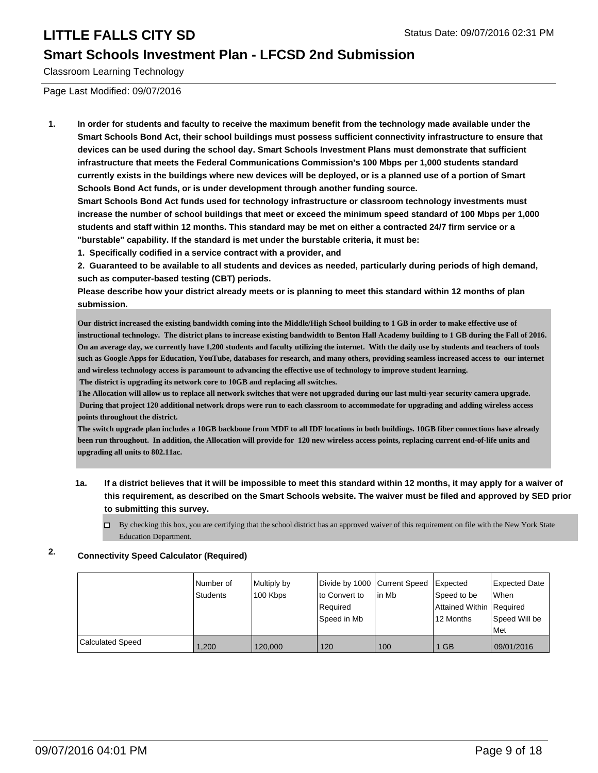#### **Smart Schools Investment Plan - LFCSD 2nd Submission**

Classroom Learning Technology

Page Last Modified: 09/07/2016

**1. In order for students and faculty to receive the maximum benefit from the technology made available under the Smart Schools Bond Act, their school buildings must possess sufficient connectivity infrastructure to ensure that devices can be used during the school day. Smart Schools Investment Plans must demonstrate that sufficient infrastructure that meets the Federal Communications Commission's 100 Mbps per 1,000 students standard currently exists in the buildings where new devices will be deployed, or is a planned use of a portion of Smart Schools Bond Act funds, or is under development through another funding source.**

**Smart Schools Bond Act funds used for technology infrastructure or classroom technology investments must increase the number of school buildings that meet or exceed the minimum speed standard of 100 Mbps per 1,000 students and staff within 12 months. This standard may be met on either a contracted 24/7 firm service or a "burstable" capability. If the standard is met under the burstable criteria, it must be:**

**1. Specifically codified in a service contract with a provider, and**

**2. Guaranteed to be available to all students and devices as needed, particularly during periods of high demand, such as computer-based testing (CBT) periods.**

**Please describe how your district already meets or is planning to meet this standard within 12 months of plan submission.**

**Our district increased the existing bandwidth coming into the Middle/High School building to 1 GB in order to make effective use of instructional technology. The district plans to increase existing bandwidth to Benton Hall Academy building to 1 GB during the Fall of 2016. On an average day, we currently have 1,200 students and faculty utilizing the internet. With the daily use by students and teachers of tools such as Google Apps for Education, YouTube, databases for research, and many others, providing seamless increased access to our internet and wireless technology access is paramount to advancing the effective use of technology to improve student learning. The district is upgrading its network core to 10GB and replacing all switches.**

**The Allocation will allow us to replace all network switches that were not upgraded during our last multi-year security camera upgrade. During that project 120 additional network drops were run to each classroom to accommodate for upgrading and adding wireless access points throughout the district.** 

**The switch upgrade plan includes a 10GB backbone from MDF to all IDF locations in both buildings. 10GB fiber connections have already been run throughout. In addition, the Allocation will provide for 120 new wireless access points, replacing current end-of-life units and upgrading all units to 802.11ac.**

**1a. If a district believes that it will be impossible to meet this standard within 12 months, it may apply for a waiver of this requirement, as described on the Smart Schools website. The waiver must be filed and approved by SED prior to submitting this survey.**

 $\Box$  By checking this box, you are certifying that the school district has an approved waiver of this requirement on file with the New York State Education Department.

#### **2. Connectivity Speed Calculator (Required)**

|                         | Number of       | Multiply by | Divide by 1000 Current Speed |        | Expected                 | Expected Date |
|-------------------------|-----------------|-------------|------------------------------|--------|--------------------------|---------------|
|                         | <b>Students</b> | 100 Kbps    | to Convert to                | lin Mb | Speed to be              | When          |
|                         |                 |             | Required                     |        | Attained Within Required |               |
|                         |                 |             | Speed in Mb                  |        | 12 Months                | Speed Will be |
|                         |                 |             |                              |        |                          | Met           |
| <b>Calculated Speed</b> | 1.200           | 120,000     | 120                          | 100    | 1 GB                     | 09/01/2016    |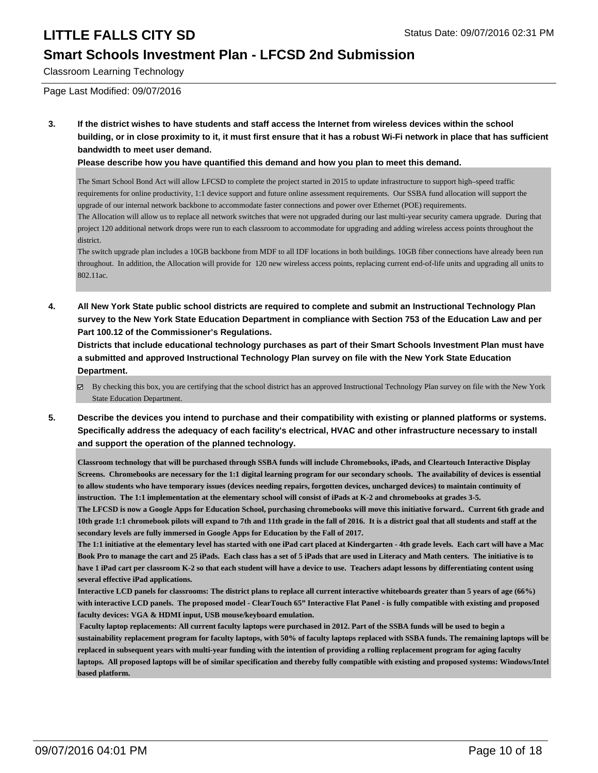### **Smart Schools Investment Plan - LFCSD 2nd Submission**

Classroom Learning Technology

Page Last Modified: 09/07/2016

**3. If the district wishes to have students and staff access the Internet from wireless devices within the school building, or in close proximity to it, it must first ensure that it has a robust Wi-Fi network in place that has sufficient bandwidth to meet user demand.**

**Please describe how you have quantified this demand and how you plan to meet this demand.**

The Smart School Bond Act will allow LFCSD to complete the project started in 2015 to update infrastructure to support high–speed traffic requirements for online productivity, 1:1 device support and future online assessment requirements. Our SSBA fund allocation will support the upgrade of our internal network backbone to accommodate faster connections and power over Ethernet (POE) requirements. The Allocation will allow us to replace all network switches that were not upgraded during our last multi-year security camera upgrade. During that

project 120 additional network drops were run to each classroom to accommodate for upgrading and adding wireless access points throughout the district.

The switch upgrade plan includes a 10GB backbone from MDF to all IDF locations in both buildings. 10GB fiber connections have already been run throughout. In addition, the Allocation will provide for 120 new wireless access points, replacing current end-of-life units and upgrading all units to 802.11ac.

**4. All New York State public school districts are required to complete and submit an Instructional Technology Plan survey to the New York State Education Department in compliance with Section 753 of the Education Law and per Part 100.12 of the Commissioner's Regulations.**

**Districts that include educational technology purchases as part of their Smart Schools Investment Plan must have a submitted and approved Instructional Technology Plan survey on file with the New York State Education Department.**

- By checking this box, you are certifying that the school district has an approved Instructional Technology Plan survey on file with the New York State Education Department.
- **5. Describe the devices you intend to purchase and their compatibility with existing or planned platforms or systems. Specifically address the adequacy of each facility's electrical, HVAC and other infrastructure necessary to install and support the operation of the planned technology.**

**Classroom technology that will be purchased through SSBA funds will include Chromebooks, iPads, and Cleartouch Interactive Display Screens. Chromebooks are necessary for the 1:1 digital learning program for our secondary schools. The availability of devices is essential to allow students who have temporary issues (devices needing repairs, forgotten devices, uncharged devices) to maintain continuity of instruction. The 1:1 implementation at the elementary school will consist of iPads at K-2 and chromebooks at grades 3-5.**

**The LFCSD is now a Google Apps for Education School, purchasing chromebooks will move this initiative forward.. Current 6th grade and 10th grade 1:1 chromebook pilots will expand to 7th and 11th grade in the fall of 2016. It is a district goal that all students and staff at the secondary levels are fully immersed in Google Apps for Education by the Fall of 2017.** 

**The 1:1 initiative at the elementary level has started with one iPad cart placed at Kindergarten - 4th grade levels. Each cart will have a Mac Book Pro to manage the cart and 25 iPads. Each class has a set of 5 iPads that are used in Literacy and Math centers. The initiative is to have 1 iPad cart per classroom K-2 so that each student will have a device to use. Teachers adapt lessons by differentiating content using several effective iPad applications.**

**Interactive LCD panels for classrooms: The district plans to replace all current interactive whiteboards greater than 5 years of age (66%) with interactive LCD panels. The proposed model - ClearTouch 65" Interactive Flat Panel - is fully compatible with existing and proposed faculty devices: VGA & HDMI input, USB mouse/keyboard emulation.**

**Faculty laptop replacements: All current faculty laptops were purchased in 2012. Part of the SSBA funds will be used to begin a sustainability replacement program for faculty laptops, with 50% of faculty laptops replaced with SSBA funds. The remaining laptops will be replaced in subsequent years with multi-year funding with the intention of providing a rolling replacement program for aging faculty laptops. All proposed laptops will be of similar specification and thereby fully compatible with existing and proposed systems: Windows/Intel based platform.**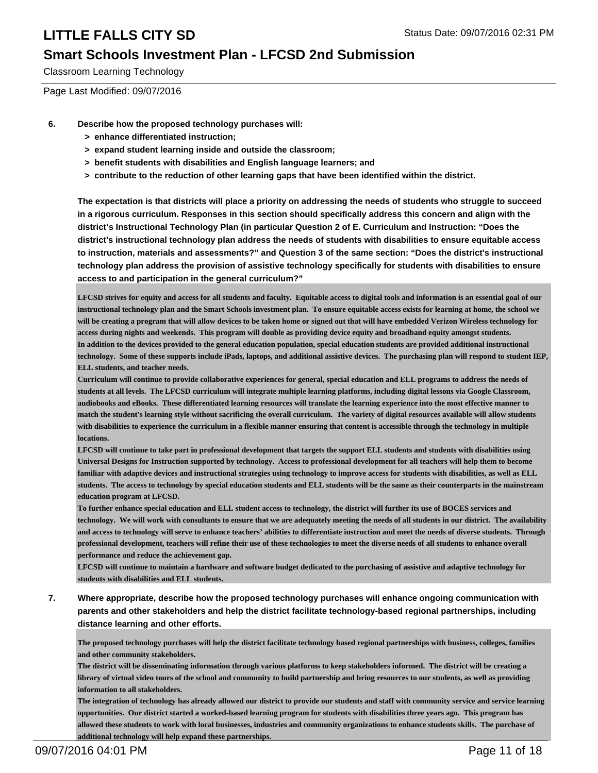### **Smart Schools Investment Plan - LFCSD 2nd Submission**

Classroom Learning Technology

Page Last Modified: 09/07/2016

- **6. Describe how the proposed technology purchases will:**
	- **> enhance differentiated instruction;**
	- **> expand student learning inside and outside the classroom;**
	- **> benefit students with disabilities and English language learners; and**
	- **> contribute to the reduction of other learning gaps that have been identified within the district.**

**The expectation is that districts will place a priority on addressing the needs of students who struggle to succeed in a rigorous curriculum. Responses in this section should specifically address this concern and align with the district's Instructional Technology Plan (in particular Question 2 of E. Curriculum and Instruction: "Does the district's instructional technology plan address the needs of students with disabilities to ensure equitable access to instruction, materials and assessments?" and Question 3 of the same section: "Does the district's instructional technology plan address the provision of assistive technology specifically for students with disabilities to ensure access to and participation in the general curriculum?"**

**LFCSD strives for equity and access for all students and faculty. Equitable access to digital tools and information is an essential goal of our instructional technology plan and the Smart Schools investment plan. To ensure equitable access exists for learning at home, the school we will be creating a program that will allow devices to be taken home or signed out that will have embedded Verizon Wireless technology for access during nights and weekends. This program will double as providing device equity and broadband equity amongst students. In addition to the devices provided to the general education population, special education students are provided additional instructional technology. Some of these supports include iPads, laptops, and additional assistive devices. The purchasing plan will respond to student IEP, ELL students, and teacher needs.**

**Curriculum will continue to provide collaborative experiences for general, special education and ELL programs to address the needs of students at all levels. The LFCSD curriculum will integrate multiple learning platforms, including digital lessons via Google Classroom, audiobooks and eBooks. These differentiated learning resources will translate the learning experience into the most effective manner to match the student's learning style without sacrificing the overall curriculum. The variety of digital resources available will allow students with disabilities to experience the curriculum in a flexible manner ensuring that content is accessible through the technology in multiple locations.**

**LFCSD will continue to take part in professional development that targets the support ELL students and students with disabilities using Universal Designs for Instruction supported by technology. Access to professional development for all teachers will help them to become familiar with adaptive devices and instructional strategies using technology to improve access for students with disabilities, as well as ELL students. The access to technology by special education students and ELL students will be the same as their counterparts in the mainstream education program at LFCSD.** 

**To further enhance special education and ELL student access to technology, the district will further its use of BOCES services and technology. We will work with consultants to ensure that we are adequately meeting the needs of all students in our district. The availability and access to technology will serve to enhance teachers' abilities to differentiate instruction and meet the needs of diverse students. Through professional development, teachers will refine their use of these technologies to meet the diverse needs of all students to enhance overall performance and reduce the achievement gap.**

**LFCSD will continue to maintain a hardware and software budget dedicated to the purchasing of assistive and adaptive technology for students with disabilities and ELL students.**

**7. Where appropriate, describe how the proposed technology purchases will enhance ongoing communication with parents and other stakeholders and help the district facilitate technology-based regional partnerships, including distance learning and other efforts.**

**The proposed technology purchases will help the district facilitate technology based regional partnerships with business, colleges, families and other community stakeholders.** 

**The district will be disseminating information through various platforms to keep stakeholders informed. The district will be creating a library of virtual video tours of the school and community to build partnership and bring resources to our students, as well as providing information to all stakeholders.** 

**The integration of technology has already allowed our district to provide our students and staff with community service and service learning opportunities. Our district started a worked-based learning program for students with disabilities three years ago. This program has allowed these students to work with local businesses, industries and community organizations to enhance students skills. The purchase of additional technology will help expand these partnerships.**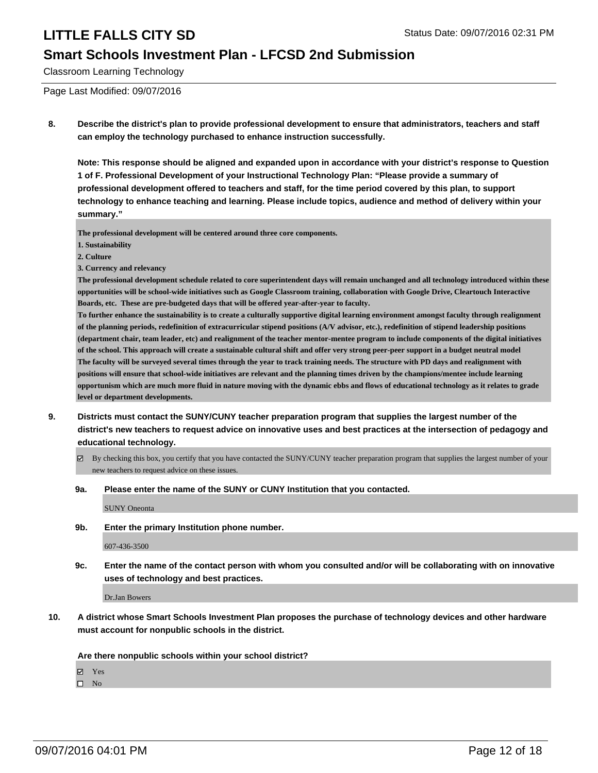#### **Smart Schools Investment Plan - LFCSD 2nd Submission**

Classroom Learning Technology

Page Last Modified: 09/07/2016

**8. Describe the district's plan to provide professional development to ensure that administrators, teachers and staff can employ the technology purchased to enhance instruction successfully.**

**Note: This response should be aligned and expanded upon in accordance with your district's response to Question 1 of F. Professional Development of your Instructional Technology Plan: "Please provide a summary of professional development offered to teachers and staff, for the time period covered by this plan, to support technology to enhance teaching and learning. Please include topics, audience and method of delivery within your summary."**

**The professional development will be centered around three core components.**

- **1. Sustainability**
- **2. Culture**
- **3. Currency and relevancy**

**The professional development schedule related to core superintendent days will remain unchanged and all technology introduced within these opportunities will be school-wide initiatives such as Google Classroom training, collaboration with Google Drive, Cleartouch Interactive Boards, etc. These are pre-budgeted days that will be offered year-after-year to faculty.**

**To further enhance the sustainability is to create a culturally supportive digital learning environment amongst faculty through realignment of the planning periods, redefinition of extracurricular stipend positions (A/V advisor, etc.), redefinition of stipend leadership positions (department chair, team leader, etc) and realignment of the teacher mentor-mentee program to include components of the digital initiatives of the school. This approach will create a sustainable cultural shift and offer very strong peer-peer support in a budget neutral model The faculty will be surveyed several times through the year to track training needs. The structure with PD days and realignment with positions will ensure that school-wide initiatives are relevant and the planning times driven by the champions/mentee include learning opportunism which are much more fluid in nature moving with the dynamic ebbs and flows of educational technology as it relates to grade level or department developments.**

- **9. Districts must contact the SUNY/CUNY teacher preparation program that supplies the largest number of the district's new teachers to request advice on innovative uses and best practices at the intersection of pedagogy and educational technology.**
	- By checking this box, you certify that you have contacted the SUNY/CUNY teacher preparation program that supplies the largest number of your new teachers to request advice on these issues.
	- **9a. Please enter the name of the SUNY or CUNY Institution that you contacted.**

SUNY Oneonta

**9b. Enter the primary Institution phone number.**

607-436-3500

**9c. Enter the name of the contact person with whom you consulted and/or will be collaborating with on innovative uses of technology and best practices.**

Dr.Jan Bowers

**10. A district whose Smart Schools Investment Plan proposes the purchase of technology devices and other hardware must account for nonpublic schools in the district.**

**Are there nonpublic schools within your school district?**

**Ø** Yes

 $\square$  No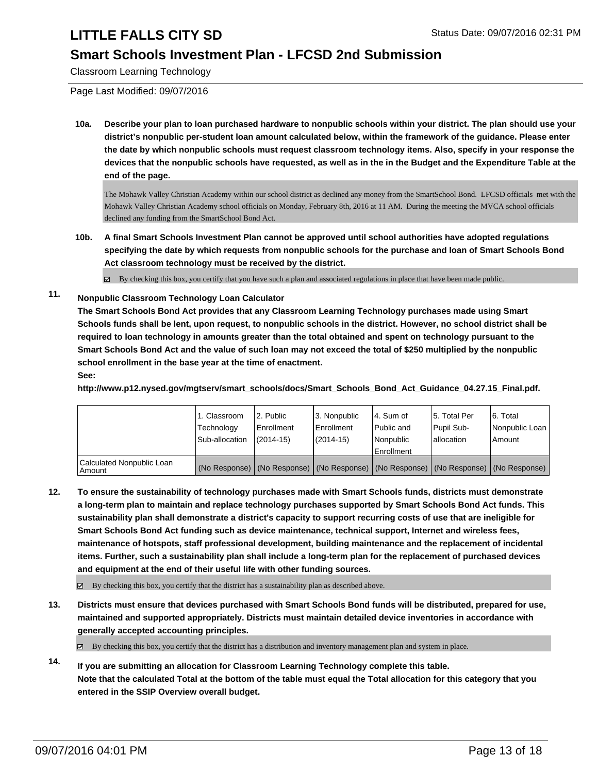### **Smart Schools Investment Plan - LFCSD 2nd Submission**

Classroom Learning Technology

Page Last Modified: 09/07/2016

**10a. Describe your plan to loan purchased hardware to nonpublic schools within your district. The plan should use your district's nonpublic per-student loan amount calculated below, within the framework of the guidance. Please enter the date by which nonpublic schools must request classroom technology items. Also, specify in your response the devices that the nonpublic schools have requested, as well as in the in the Budget and the Expenditure Table at the end of the page.**

The Mohawk Valley Christian Academy within our school district as declined any money from the SmartSchool Bond. LFCSD officials met with the Mohawk Valley Christian Academy school officials on Monday, February 8th, 2016 at 11 AM. During the meeting the MVCA school officials declined any funding from the SmartSchool Bond Act.

**10b. A final Smart Schools Investment Plan cannot be approved until school authorities have adopted regulations specifying the date by which requests from nonpublic schools for the purchase and loan of Smart Schools Bond Act classroom technology must be received by the district.**

 $\boxtimes$  By checking this box, you certify that you have such a plan and associated regulations in place that have been made public.

**11. Nonpublic Classroom Technology Loan Calculator**

**The Smart Schools Bond Act provides that any Classroom Learning Technology purchases made using Smart Schools funds shall be lent, upon request, to nonpublic schools in the district. However, no school district shall be required to loan technology in amounts greater than the total obtained and spent on technology pursuant to the Smart Schools Bond Act and the value of such loan may not exceed the total of \$250 multiplied by the nonpublic school enrollment in the base year at the time of enactment. See:**

**http://www.p12.nysed.gov/mgtserv/smart\_schools/docs/Smart\_Schools\_Bond\_Act\_Guidance\_04.27.15\_Final.pdf.**

|                                     | 1. Classroom<br>Technology<br>Sub-allocation | 2. Public<br>Enrollment<br>$(2014 - 15)$ | 3. Nonpublic<br>l Enrollment<br>(2014-15) | l 4. Sum of<br>Public and<br>Nonpublic<br>Enrollment | 5. Total Per<br>Pupil Sub-<br>lallocation                                                     | 6. Total<br>Nonpublic Loan<br>Amount |
|-------------------------------------|----------------------------------------------|------------------------------------------|-------------------------------------------|------------------------------------------------------|-----------------------------------------------------------------------------------------------|--------------------------------------|
| Calculated Nonpublic Loan<br>Amount |                                              |                                          |                                           |                                                      | (No Response)   (No Response)   (No Response)   (No Response)   (No Response)   (No Response) |                                      |

**12. To ensure the sustainability of technology purchases made with Smart Schools funds, districts must demonstrate a long-term plan to maintain and replace technology purchases supported by Smart Schools Bond Act funds. This sustainability plan shall demonstrate a district's capacity to support recurring costs of use that are ineligible for Smart Schools Bond Act funding such as device maintenance, technical support, Internet and wireless fees, maintenance of hotspots, staff professional development, building maintenance and the replacement of incidental items. Further, such a sustainability plan shall include a long-term plan for the replacement of purchased devices and equipment at the end of their useful life with other funding sources.**

 $\boxtimes$  By checking this box, you certify that the district has a sustainability plan as described above.

**13. Districts must ensure that devices purchased with Smart Schools Bond funds will be distributed, prepared for use, maintained and supported appropriately. Districts must maintain detailed device inventories in accordance with generally accepted accounting principles.**

 $\boxtimes$  By checking this box, you certify that the district has a distribution and inventory management plan and system in place.

**14. If you are submitting an allocation for Classroom Learning Technology complete this table. Note that the calculated Total at the bottom of the table must equal the Total allocation for this category that you entered in the SSIP Overview overall budget.**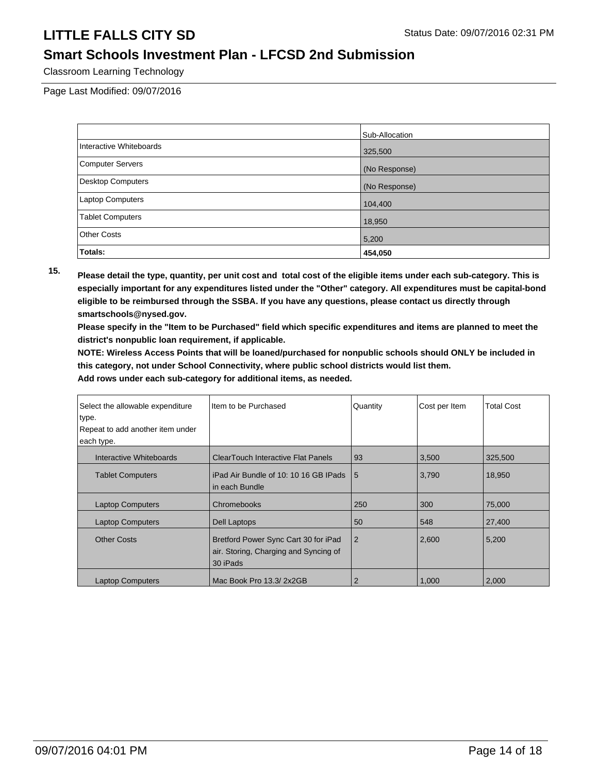### **Smart Schools Investment Plan - LFCSD 2nd Submission**

Classroom Learning Technology

Page Last Modified: 09/07/2016

|                          | Sub-Allocation |
|--------------------------|----------------|
| Interactive Whiteboards  | 325,500        |
| <b>Computer Servers</b>  | (No Response)  |
| <b>Desktop Computers</b> | (No Response)  |
| Laptop Computers         | 104,400        |
| <b>Tablet Computers</b>  | 18,950         |
| <b>Other Costs</b>       | 5,200          |
| Totals:                  | 454,050        |

**15. Please detail the type, quantity, per unit cost and total cost of the eligible items under each sub-category. This is especially important for any expenditures listed under the "Other" category. All expenditures must be capital-bond eligible to be reimbursed through the SSBA. If you have any questions, please contact us directly through smartschools@nysed.gov.**

**Please specify in the "Item to be Purchased" field which specific expenditures and items are planned to meet the district's nonpublic loan requirement, if applicable.**

**NOTE: Wireless Access Points that will be loaned/purchased for nonpublic schools should ONLY be included in this category, not under School Connectivity, where public school districts would list them.**

| Select the allowable expenditure<br>type.<br>Repeat to add another item under<br>each type. | Item to be Purchased                                                                      | Quantity       | Cost per Item | <b>Total Cost</b> |
|---------------------------------------------------------------------------------------------|-------------------------------------------------------------------------------------------|----------------|---------------|-------------------|
| Interactive Whiteboards                                                                     | <b>ClearTouch Interactive Flat Panels</b>                                                 | 93             | 3,500         | 325,500           |
| <b>Tablet Computers</b>                                                                     | iPad Air Bundle of 10: 10 16 GB IPads<br>In each Bundle                                   | 5              | 3,790         | 18,950            |
| <b>Laptop Computers</b>                                                                     | Chromebooks                                                                               | 250            | 300           | 75,000            |
| <b>Laptop Computers</b>                                                                     | Dell Laptops                                                                              | 50             | 548           | 27,400            |
| <b>Other Costs</b>                                                                          | Bretford Power Sync Cart 30 for iPad<br>air. Storing, Charging and Syncing of<br>30 iPads | $\overline{2}$ | 2,600         | 5,200             |
| <b>Laptop Computers</b>                                                                     | Mac Book Pro 13.3/2x2GB                                                                   | $\overline{2}$ | 1.000         | 2,000             |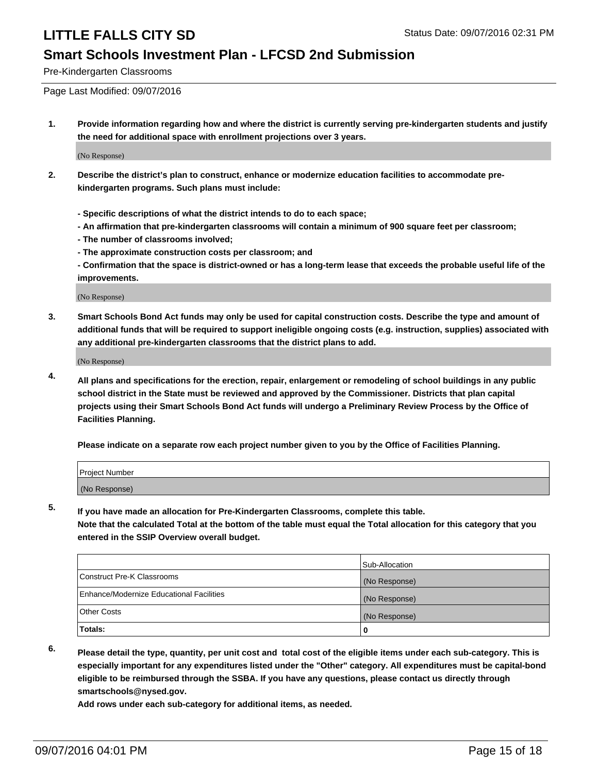#### **Smart Schools Investment Plan - LFCSD 2nd Submission**

Pre-Kindergarten Classrooms

Page Last Modified: 09/07/2016

**1. Provide information regarding how and where the district is currently serving pre-kindergarten students and justify the need for additional space with enrollment projections over 3 years.**

(No Response)

- **2. Describe the district's plan to construct, enhance or modernize education facilities to accommodate prekindergarten programs. Such plans must include:**
	- **Specific descriptions of what the district intends to do to each space;**
	- **An affirmation that pre-kindergarten classrooms will contain a minimum of 900 square feet per classroom;**
	- **The number of classrooms involved;**
	- **The approximate construction costs per classroom; and**
	- **Confirmation that the space is district-owned or has a long-term lease that exceeds the probable useful life of the improvements.**

(No Response)

**3. Smart Schools Bond Act funds may only be used for capital construction costs. Describe the type and amount of additional funds that will be required to support ineligible ongoing costs (e.g. instruction, supplies) associated with any additional pre-kindergarten classrooms that the district plans to add.**

(No Response)

**4. All plans and specifications for the erection, repair, enlargement or remodeling of school buildings in any public school district in the State must be reviewed and approved by the Commissioner. Districts that plan capital projects using their Smart Schools Bond Act funds will undergo a Preliminary Review Process by the Office of Facilities Planning.**

**Please indicate on a separate row each project number given to you by the Office of Facilities Planning.**

| Project Number |  |
|----------------|--|
| (No Response)  |  |

**5. If you have made an allocation for Pre-Kindergarten Classrooms, complete this table.**

**Note that the calculated Total at the bottom of the table must equal the Total allocation for this category that you entered in the SSIP Overview overall budget.**

|                                          | Sub-Allocation |
|------------------------------------------|----------------|
| Construct Pre-K Classrooms               | (No Response)  |
| Enhance/Modernize Educational Facilities | (No Response)  |
| Other Costs                              | (No Response)  |
| Totals:                                  |                |

**6. Please detail the type, quantity, per unit cost and total cost of the eligible items under each sub-category. This is especially important for any expenditures listed under the "Other" category. All expenditures must be capital-bond eligible to be reimbursed through the SSBA. If you have any questions, please contact us directly through smartschools@nysed.gov.**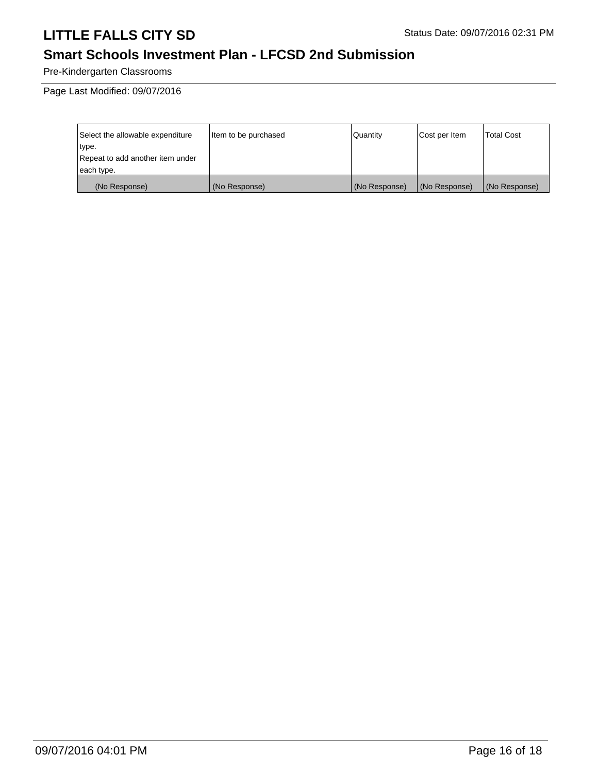## **Smart Schools Investment Plan - LFCSD 2nd Submission**

Pre-Kindergarten Classrooms

Page Last Modified: 09/07/2016

| Select the allowable expenditure | Item to be purchased | l Quantitv    | Cost per Item | <b>Total Cost</b> |
|----------------------------------|----------------------|---------------|---------------|-------------------|
| type.                            |                      |               |               |                   |
| Repeat to add another item under |                      |               |               |                   |
| each type.                       |                      |               |               |                   |
| (No Response)                    | (No Response)        | (No Response) | (No Response) | (No Response)     |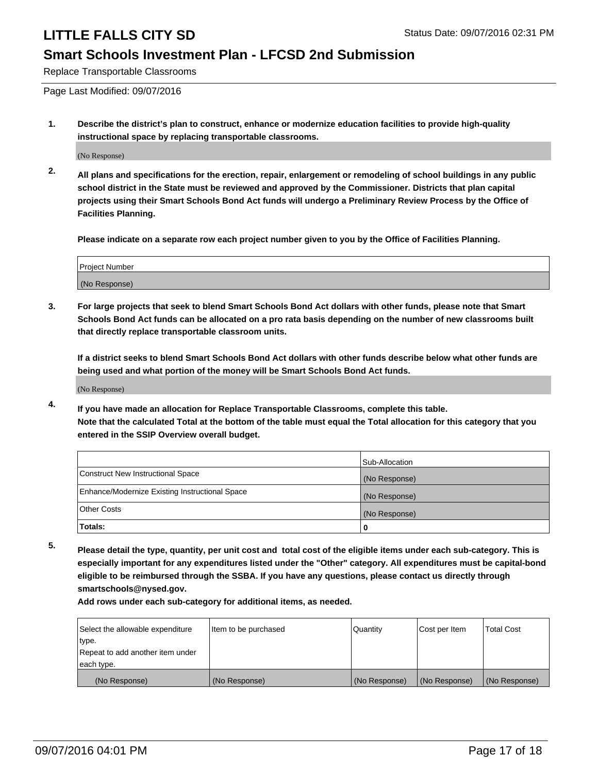#### **Smart Schools Investment Plan - LFCSD 2nd Submission**

Replace Transportable Classrooms

Page Last Modified: 09/07/2016

**1. Describe the district's plan to construct, enhance or modernize education facilities to provide high-quality instructional space by replacing transportable classrooms.**

(No Response)

**2. All plans and specifications for the erection, repair, enlargement or remodeling of school buildings in any public school district in the State must be reviewed and approved by the Commissioner. Districts that plan capital projects using their Smart Schools Bond Act funds will undergo a Preliminary Review Process by the Office of Facilities Planning.**

**Please indicate on a separate row each project number given to you by the Office of Facilities Planning.**

| Project Number |  |
|----------------|--|
| (No Response)  |  |

**3. For large projects that seek to blend Smart Schools Bond Act dollars with other funds, please note that Smart Schools Bond Act funds can be allocated on a pro rata basis depending on the number of new classrooms built that directly replace transportable classroom units.**

**If a district seeks to blend Smart Schools Bond Act dollars with other funds describe below what other funds are being used and what portion of the money will be Smart Schools Bond Act funds.**

(No Response)

**4. If you have made an allocation for Replace Transportable Classrooms, complete this table. Note that the calculated Total at the bottom of the table must equal the Total allocation for this category that you entered in the SSIP Overview overall budget.**

|                                                | Sub-Allocation |
|------------------------------------------------|----------------|
| Construct New Instructional Space              | (No Response)  |
| Enhance/Modernize Existing Instructional Space | (No Response)  |
| Other Costs                                    | (No Response)  |
| Totals:                                        | o              |

**5. Please detail the type, quantity, per unit cost and total cost of the eligible items under each sub-category. This is especially important for any expenditures listed under the "Other" category. All expenditures must be capital-bond eligible to be reimbursed through the SSBA. If you have any questions, please contact us directly through smartschools@nysed.gov.**

| Select the allowable expenditure | Item to be purchased | Quantity      | Cost per Item | Total Cost    |
|----------------------------------|----------------------|---------------|---------------|---------------|
| type.                            |                      |               |               |               |
| Repeat to add another item under |                      |               |               |               |
| each type.                       |                      |               |               |               |
| (No Response)                    | (No Response)        | (No Response) | (No Response) | (No Response) |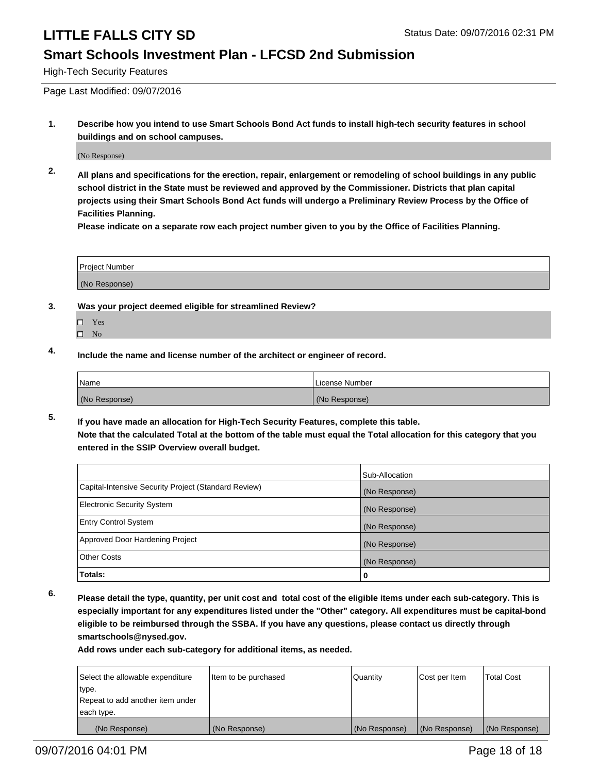#### **Smart Schools Investment Plan - LFCSD 2nd Submission**

High-Tech Security Features

Page Last Modified: 09/07/2016

**1. Describe how you intend to use Smart Schools Bond Act funds to install high-tech security features in school buildings and on school campuses.**

(No Response)

**2. All plans and specifications for the erection, repair, enlargement or remodeling of school buildings in any public school district in the State must be reviewed and approved by the Commissioner. Districts that plan capital projects using their Smart Schools Bond Act funds will undergo a Preliminary Review Process by the Office of Facilities Planning.** 

**Please indicate on a separate row each project number given to you by the Office of Facilities Planning.**

| <b>Project Number</b> |  |
|-----------------------|--|
| (No Response)         |  |

- **3. Was your project deemed eligible for streamlined Review?**
	- □ Yes
	- $\square$  No
- **4. Include the name and license number of the architect or engineer of record.**

| Name          | License Number |
|---------------|----------------|
| (No Response) | (No Response)  |

**5. If you have made an allocation for High-Tech Security Features, complete this table. Note that the calculated Total at the bottom of the table must equal the Total allocation for this category that you entered in the SSIP Overview overall budget.**

|                                                      | Sub-Allocation |
|------------------------------------------------------|----------------|
| Capital-Intensive Security Project (Standard Review) | (No Response)  |
| <b>Electronic Security System</b>                    | (No Response)  |
| <b>Entry Control System</b>                          | (No Response)  |
| Approved Door Hardening Project                      | (No Response)  |
| <b>Other Costs</b>                                   | (No Response)  |
| Totals:                                              | 0              |

**6. Please detail the type, quantity, per unit cost and total cost of the eligible items under each sub-category. This is especially important for any expenditures listed under the "Other" category. All expenditures must be capital-bond eligible to be reimbursed through the SSBA. If you have any questions, please contact us directly through smartschools@nysed.gov.**

| Select the allowable expenditure | Item to be purchased | Quantity      | Cost per Item | <b>Total Cost</b> |
|----------------------------------|----------------------|---------------|---------------|-------------------|
| type.                            |                      |               |               |                   |
| Repeat to add another item under |                      |               |               |                   |
| each type.                       |                      |               |               |                   |
| (No Response)                    | (No Response)        | (No Response) | (No Response) | (No Response)     |